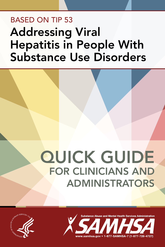# BASED oN TIP 53 Addressing Viral Hepatitis in People With Substance Use Disorders

# **QUICK GUIDE** FOR CLINICIANS AND ADMINISTRATORS



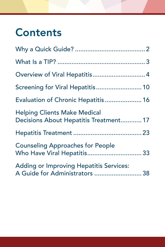# **Contents**

| Overview of Viral Hepatitis 4                                                    |
|----------------------------------------------------------------------------------|
| Screening for Viral Hepatitis 10                                                 |
| Evaluation of Chronic Hepatitis 16                                               |
| <b>Helping Clients Make Medical</b><br>Decisions About Hepatitis Treatment 17    |
|                                                                                  |
| <b>Counseling Approaches for People</b><br>Who Have Viral Hepatitis 33           |
| <b>Adding or Improving Hepatitis Services:</b><br>A Guide for Administrators  38 |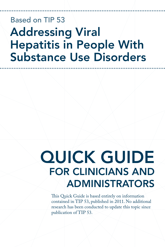# Based on TIP 53 Addressing Viral Hepatitis in People With Substance Use Disorders

# QUICK GUIDE FOR CLINICIANS AND **ADMINISTRATORS**

This Quick Guide is based entirely on information contained in TIP 53, published in 2011. No additional research has been conducted to update this topic since publication of TIP 53.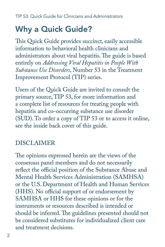## <span id="page-3-0"></span>Why a Quick Guide?

This Quick Guide provides succinct, easily accessible information to behavioral health clinicians and administrators about viral hepatitis. The guide is based entirely on *Addressing Viral Hepatitis in People With Substance Use Disorders*, Number 53 in the Treatment Improvement Protocol (TIP) series.

Users of the Quick Guide are invited to consult the primary source, TIP 53, for more information and a complete list of resources for treating people with hepatitis and co-occurring substance use disorder (SUD). To order a copy of TIP 53 or to access it online, see the inside back cover of this guide.

## DISCLAIMER

The opinions expressed herein are the views of the consensus panel members and do not necessarily reflect the official position of the Substance Abuse and Mental Health Services Administration (SAMHSA) or the U.S. Department of Health and Human Services (HHS). No official support of or endorsement by SAMHSA or HHS for these opinions or for the instruments or resources described is intended or should be inferred. The guidelines presented should not be considered substitutes for individualized client care and treatment decisions.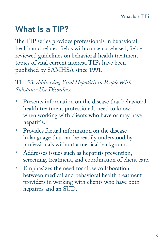## <span id="page-4-0"></span>What Is a TIP?

The TIP series provides professionals in behavioral health and related fields with consensus-based, fieldreviewed guidelines on behavioral health treatment topics of vital current interest. TIPs have been published by SAMHSA since 1991.

### TIP 53, *Addressing Viral Hepatitis in People With Substance Use Disorders*:

- Presents information on the disease that behavioral health treatment professionals need to know when working with clients who have or may have hepatitis.
- Provides factual information on the disease in language that can be readily understood by professionals without a medical background.
- Addresses issues such as hepatitis prevention, screening, treatment, and coordination of client care.
- • Emphasizes the need for close collaboration between medical and behavioral health treatment providers in working with clients who have both hepatitis and an SUD.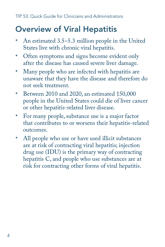## <span id="page-5-0"></span>Overview of Viral Hepatitis

- An estimated 3.5–5.3 million people in the United States live with chronic viral hepatitis.
- • Often symptoms and signs become evident only after the disease has caused severe liver damage.
- Many people who are infected with hepatitis are unaware that they have the disease and therefore do not seek treatment.
- • Between 2010 and 2020, an estimated 150,000 people in the United States could die of liver cancer or other hepatitis-related liver disease.
- For many people, substance use is a major factor that contributes to or worsens their hepatitis-related outcomes.
- All people who use or have used illicit substances are at risk of contracting viral hepatitis; injection drug use (IDU) is the primary way of contracting hepatitis C, and people who use substances are at risk for contracting other forms of viral hepatitis.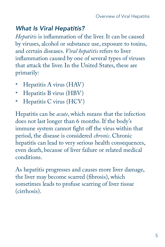## *What Is Viral Hepatitis?*

*Hepatitis* is inflammation of the liver. It can be caused by viruses, alcohol or substance use, exposure to toxins, and certain diseases. *Viral hepatitis* refers to liver inflammation caused by one of several types of viruses that attack the liver. In the United States, these are primarily:

- Hepatitis A virus (HAV)
- Hepatitis B virus (HBV)
- Hepatitis C virus (HCV)

Hepatitis can be *acute*, which means that the infection does not last longer than 6 months. If the body's immune system cannot fight off the virus within that period, the disease is considered *chronic*. Chronic hepatitis can lead to very serious health consequences, even death, because of liver failure or related medical conditions.

As hepatitis progresses and causes more liver damage, the liver may become scarred (fibrosis), which sometimes leads to profuse scarring of liver tissue (cirrhosis).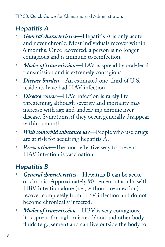## *Hepatitis A*

- *General characteristics*—Hepatitis A is only acute and never chronic. Most individuals recover within 6 months. Once recovered, a person is no longer contagious and is immune to reinfection.
- *Modes of transmission***—HAV** is spread by oral-fecal transmission and is extremely contagious.
- *Disease burden*—An estimated one-third of U.S. residents have had HAV infection.
- *Disease course*—HAV infection is rarely life threatening, although severity and mortality may increase with age and underlying chronic liver disease. Symptoms, if they occur, generally disappear within a month.
- *With comorbid substance use*—People who use drugs are at risk for acquiring hepatitis A.
- *Prevention***—The most effective way to prevent** HAV infection is vaccination.

## *Hepatitis B*

- General characteristics-Hepatitis B can be acute or chronic. Approximately 90 percent of adults with HBV infection alone (i.e., without co-infection) recover completely from HBV infection and do not become chronically infected.
- Modes of transmission-HBV is very contagious; it is spread through infected blood and other body fluids (e.g., semen) and can live outside the body for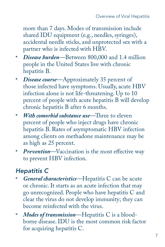more than 7 days. Modes of transmission include shared IDU equipment (e.g., needles, syringes), accidental needle sticks, and unprotected sex with a partner who is infected with HBV.

- Disease burden-Between 800,000 and 1.4 million people in the United States live with chronic hepatitis B.
- • *Disease course*—Approximately 35 percent of those infected have symptoms. Usually, acute HBV infection alone is not life-threatening. Up to 10 percent of people with acute hepatitis B will develop chronic hepatitis B after 6 months.
- • *With comorbid substance use*—Three to eleven percent of people who inject drugs have chronic hepatitis B. Rates of asymptomatic HBV infection among clients on methadone maintenance may be as high as 25 percent.
- **Prevention**—Vaccination is the most effective way to prevent HBV infection.

## *Hepatitis C*

- **General characteristics—Hepatitis C can be acute** or chronic. It starts as an acute infection that may go unrecognized. People who have hepatitis C and clear the virus do not develop immunity; they can become reinfected with the virus.
- *Modes of transmission*—Hepatitis C is a bloodborne disease. IDU is the most common risk factor for acquiring hepatitis C.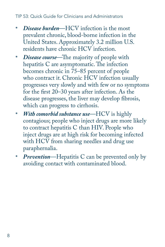- **Disease burden—HCV** infection is the most prevalent chronic, blood-borne infection in the United States. Approximately 3.2 million U.S. residents have chronic HCV infection.
- *Disease course*—The majority of people with hepatitis C are asymptomatic. The infection becomes chronic in 75–85 percent of people who contract it. Chronic HCV infection usually progresses very slowly and with few or no symptoms for the first 20–30 years after infection. As the disease progresses, the liver may develop fibrosis, which can progress to cirrhosis.
- • *With comorbid substance use*—HCV is highly contagious; people who inject drugs are more likely to contract hepatitis C than HIV. People who inject drugs are at high risk for becoming infected with HCV from sharing needles and drug use paraphernalia.
- *Prevention***—Hepatitis C** can be prevented only by avoiding contact with contaminated blood.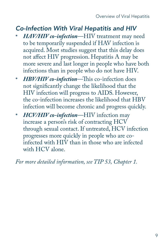## *Co-Infection With Viral Hepatitis and HIV*

- HAV/HIV co-infection-HIV treatment may need to be temporarily suspended if HAV infection is acquired. Most studies suggest that this delay does not affect HIV progression. Hepatitis A may be more severe and last longer in people who have both infections than in people who do not have HIV.
- • *HBV/HIV co-infection*—This co-infection does not significantly change the likelihood that the HIV infection will progress to AIDS. However, the co-infection increases the likelihood that HBV infection will become chronic and progress quickly.
- HCV/HIV co-infection-HIV infection may increase a person's risk of contracting HCV through sexual contact. If untreated, HCV infection progresses more quickly in people who are coinfected with HIV than in those who are infected with HCV alone.

*For more detailed information, see TIP 53, Chapter 1.*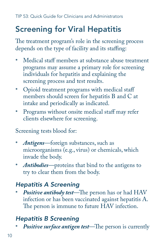## <span id="page-11-0"></span>Screening for Viral Hepatitis

The treatment program's role in the screening process depends on the type of facility and its staffing:

- Medical staff members at substance abuse treatment programs may assume a primary role for screening individuals for hepatitis and explaining the screening process and test results.
- Opioid treatment programs with medical staff members should screen for hepatitis B and C at intake and periodically as indicated.
- Programs without onsite medical staff may refer clients elsewhere for screening.

Screening tests blood for:

- *Antigens*—foreign substances, such as microorganisms (e.g., virus) or chemicals, which invade the body.
- *Antibodies*—proteins that bind to the antigens to try to clear them from the body.

## *Hepatitis A Screening*

Positive antibody test-The person has or had HAV infection or has been vaccinated against hepatitis A. The person is immune to future HAV infection.

## *Hepatitis B Screening*

**Positive surface antigen test**—The person is currently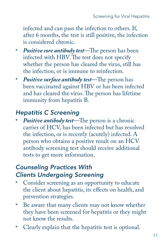infected and can pass the infection to others. If, after 6 months, the test is still positive, the infection is considered chronic.

- • *Positive core antibody test*—The person has been infected with HBV. The test does not specify whether the person has cleared the virus, still has the infection, or is immune to reinfection.
- • *Positive surface antibody test*—The person has been vaccinated against HBV or has been infected and has cleared the virus. The person has lifetime immunity from hepatitis B.

## *Hepatitis C Screening*

**Positive antibody test**—The person is a chronic carrier of HCV, has been infected but has resolved the infection, or is recently (acutely) infected. A person who obtains a positive result on an HCV antibody screening test should receive additional tests to get more information.

## *Counseling Practices With Clients Undergoing Screening*

- Consider screening as an opportunity to educate the client about hepatitis, its effects on health, and prevention strategies.
- • Be aware that many clients may not know whether they have been screened for hepatitis or they might not know the results.
- Clearly explain that the hepatitis test is optional.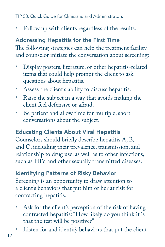Follow up with clients regardless of the results.

## Addressing Hepatitis for the First Time

The following strategies can help the treatment facility and counselor initiate the conversation about screening:

- Display posters, literature, or other hepatitis-related items that could help prompt the client to ask questions about hepatitis.
- Assess the client's ability to discuss hepatitis.
- Raise the subject in a way that avoids making the client feel defensive or afraid.
- • Be patient and allow time for multiple, short conversations about the subject.

### Educating Clients About Viral Hepatitis

Counselors should briefly describe hepatitis A, B, and C, including their prevalence, transmission, and relationship to drug use, as well as to other infections, such as HIV and other sexually transmitted diseases.

Identifying Patterns of Risky Behavior Screening is an opportunity to draw attention to a client's behaviors that put him or her at risk for contracting hepatitis.

- Ask for the client's perception of the risk of having contracted hepatitis: "How likely do you think it is that the test will be positive?"
- Listen for and identify behaviors that put the client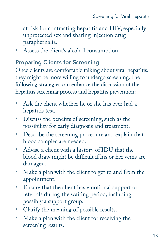at risk for contracting hepatitis and HIV, especially unprotected sex and sharing injection drug paraphernalia.

• Assess the client's alcohol consumption.

#### Preparing Clients for Screening

 they might be more willing to undergo screening. The Once clients are comfortable talking about viral hepatitis, following strategies can enhance the discussion of the hepatitis screening process and hepatitis prevention:

- • Ask the client whether he or she has ever had a hepatitis test.
- • Discuss the benefits of screening, such as the possibility for early diagnosis and treatment.
- Describe the screening procedure and explain that blood samples are needed.
- Advise a client with a history of IDU that the blood draw might be difficult if his or her veins are damaged.
- Make a plan with the client to get to and from the appointment.
- • Ensure that the client has emotional support or referrals during the waiting period, including possibly a support group.
- Clarify the meaning of possible results.
- Make a plan with the client for receiving the screening results.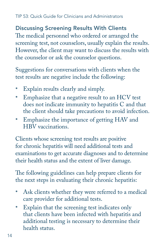#### Discussing Screening Results With Clients

The medical personnel who ordered or arranged the screening test, not counselors, usually explain the results. However, the client may want to discuss the results with the counselor or ask the counselor questions.

Suggestions for conversations with clients when the test results are negative include the following:

- • Explain results clearly and simply.
- Emphasize that a negative result to an HCV test does not indicate immunity to hepatitis C and that the client should take precautions to avoid infection.
- Emphasize the importance of getting HAV and HBV vaccinations.

Clients whose screening test results are positive for chronic hepatitis will need additional tests and examinations to get accurate diagnoses and to determine their health status and the extent of liver damage.

The following guidelines can help prepare clients for the next steps in evaluating their chronic hepatitis:

- • Ask clients whether they were referred to a medical care provider for additional tests.
- • Explain that the screening test indicates only that clients have been infected with hepatitis and additional testing is necessary to determine their health status.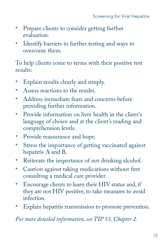- • Prepare clients to consider getting further evaluation.
- Identify barriers to further testing and ways to overcome them.

To help clients come to terms with their positive test results:

- Explain results clearly and simply.
- Assess reactions to the results.
- • Address immediate fears and concerns before providing further information.
- Provide information on liver health in the client's language of choice and at the client's reading and comprehension levels.
- Provide reassurance and hope.
- • Stress the importance of getting vaccinated against hepatitis A and B.
- Reiterate the importance of not drinking alcohol.
- • Caution against taking medications without first consulting a medical care provider.
- Encourage clients to learn their HIV status and, if they are not HIV positive, to take measures to avoid infection.
- Explain hepatitis transmission to promote prevention.

*For more detailed information, see TIP 53, Chapter 2.*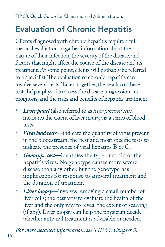## <span id="page-17-0"></span>Evaluation of Chronic Hepatitis

Clients diagnosed with chronic hepatitis require a full medical evaluation to gather information about the nature of their infection, the severity of the disease, and factors that might affect the course of the disease and its treatment. At some point, clients will probably be referred to a specialist.The evaluation of chronic hepatitis can involve several tests.Taken together, the results of these tests help a physician assess the disease progression, its prognosis, and the risks and benefits of hepatitis treatment.

- *Liver panel* (also referred to as *liver function tests*) measures the extent of liver injury, via a series of blood tests.
- *Viral load tests*—indicate the quantity of virus present in the bloodstream; the best and most specific tests to indicate the presence of viral hepatitis B or C.
- • *Genotype test*—identifies the type or strain of the hepatitis virus. No genotype causes more severe disease than any other, but the genotype has implications for response to antiviral treatment and the duration of treatment.
- *Liver biopsy*—involves removing a small number of liver cells; the best way to evaluate the health of the liver and the only way to reveal the extent of scarring (if any). Liver biopsy can help the physician decide whether antiviral treatment is advisable or needed.

*For more detailed information, see TIP 53, Chapter 3.*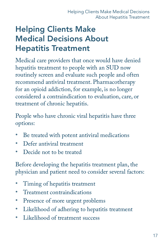## <span id="page-18-0"></span>Helping Clients make **Medical Decisions About Hepatitis Treatment**

Medical care providers that once would have denied hepatitis treatment to people with an SUD now routinely screen and evaluate such people and often recommend antiviral treatment. Pharmacotherapy for an opioid addiction, for example, is no longer considered a contraindication to evaluation, care, or treatment of chronic hepatitis.

People who have chronic viral hepatitis have three options:

- Be treated with potent antiviral medications
- Defer antiviral treatment
- Decide not to be treated

Before developing the hepatitis treatment plan, the physician and patient need to consider several factors:

- Timing of hepatitis treatment
- Treatment contraindications
- Presence of more urgent problems
- Likelihood of adhering to hepatitis treatment
- Likelihood of treatment success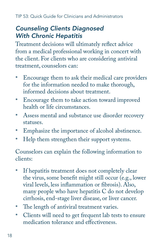## *Counseling Clients Diagnosed With Chronic Hepatitis*

Treatment decisions will ultimately reflect advice from a medical professional working in concert with the client. For clients who are considering antiviral treatment, counselors can:

- Encourage them to ask their medical care providers for the information needed to make thorough, informed decisions about treatment.
- • Encourage them to take action toward improved health or life circumstances.
- Assess mental and substance use disorder recovery statuses.
- • Emphasize the importance of alcohol abstinence.
- Help them strengthen their support systems.

Counselors can explain the following information to clients:

- If hepatitis treatment does not completely clear the virus, some benefit might still occur (e.g., lower viral levels, less inflammation or fibrosis). Also, many people who have hepatitis C do not develop cirrhosis, end-stage liver disease, or liver cancer.
- The length of antiviral treatment varies.
- • Clients will need to get frequent lab tests to ensure medication tolerance and effectiveness.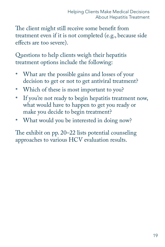The client might still receive some benefit from treatment even if it is not completed (e.g., because side effects are too severe).

Questions to help clients weigh their hepatitis treatment options include the following:

- What are the possible gains and losses of your decision to get or not to get antiviral treatment?
- Which of these is most important to you?
- If you're not ready to begin hepatitis treatment now, what would have to happen to get you ready or make you decide to begin treatment?
- What would you be interested in doing now?

The exhibit on pp. 20–22 lists potential counseling approaches to various HCV evaluation results.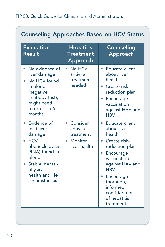| <b>Evaluation</b><br>Result                                                                                                                                               | <b>Hepatitis</b><br><b>Treatment</b><br><b>Approach</b>                      | Counseling<br>Approach                                                                                                                                                                                                                        |
|---------------------------------------------------------------------------------------------------------------------------------------------------------------------------|------------------------------------------------------------------------------|-----------------------------------------------------------------------------------------------------------------------------------------------------------------------------------------------------------------------------------------------|
| No evidence of<br>٠<br>liver damage<br>No HCV found<br>in blood<br>(negative<br>antibody test);<br>might need<br>to retest in 6<br>months                                 | • No HCV<br>antiviral<br>treatment<br>needed                                 | • Educate client<br>about liver<br>health<br>• Create risk-<br>reduction plan<br>Encourage<br>vaccination<br>against HAV and<br><b>HRV</b>                                                                                                    |
| Evidence of<br>mild liver<br>damage<br><b>HCV</b><br>٠<br>ribonucleic acid<br>(RNA) found in<br>blood<br>• Stable mental/<br>physical<br>health and life<br>circumstances | • Consider<br>antiviral<br>treatment<br>Monitor<br>$\bullet$<br>liver health | • Educate client<br>about liver<br>health<br>• Create risk-<br>reduction plan<br>Encourage<br>$\bullet$<br>vaccination<br>against HAV and<br><b>HRV</b><br>• Encourage<br>thorough,<br>informed<br>consideration<br>of hepatitis<br>treatment |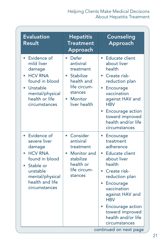#### Helping Clients Make Medical Decisions About Hepatitis Treatment

| <b>Evaluation</b><br>Result                                                                                                                                              | <b>Hepatitis</b><br><b>Treatment</b><br>Approach                                                                                | Counseling<br>Approach                                                                                                                                                                                                                                                                       |
|--------------------------------------------------------------------------------------------------------------------------------------------------------------------------|---------------------------------------------------------------------------------------------------------------------------------|----------------------------------------------------------------------------------------------------------------------------------------------------------------------------------------------------------------------------------------------------------------------------------------------|
| • Evidence of<br>mild liver<br>damage<br><b>HCV RNA</b><br>found in blood<br>• Unstable<br>mental/physical<br>health or life<br>circumstances                            | • Defer<br>antiviral<br>treatment<br>Stabilize<br>health and<br>life circum-<br>stances<br>Monitor<br>$\bullet$<br>liver health | • Educate client<br>about liver<br>health<br>Create risk-<br>۰<br>reduction plan<br>• Encourage<br>vaccination<br>against HAV and<br><b>HBV</b><br>Encourage action<br>$\bullet$<br>toward improved<br>health and/or life<br>circumstances                                                   |
| • Evidence of<br>severe liver<br>damage<br><b>HCV RNA</b><br>found in blood<br>Stable or<br>$\bullet$<br>unstable<br>mental/physical<br>health and life<br>circumstances | • Consider<br>antiviral<br>treatment<br>Monitor and<br>stabilize<br>health or<br>life circum-<br>stances                        | $\bullet$<br>Encourage<br>treatment<br>adherence<br>Educate client<br>$\bullet$<br>about liver<br>health<br>• Create risk-<br>reduction plan<br>Encourage<br>۰<br>vaccination<br>against HAV and<br><b>HRV</b><br>Encourage action<br>toward improved<br>health and/or life<br>circumstances |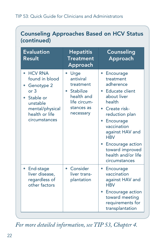### Counseling Approaches Based on HCV Status (continued)

| <b>Evaluation</b><br>Result                                                                                                                        | <b>Hepatitis</b><br><b>Treatment</b><br>Approach                                                                 | Counseling<br>Approach                                                                                                                                                                                                                                                     |
|----------------------------------------------------------------------------------------------------------------------------------------------------|------------------------------------------------------------------------------------------------------------------|----------------------------------------------------------------------------------------------------------------------------------------------------------------------------------------------------------------------------------------------------------------------------|
| <b>HCV RNA</b><br>found in blood<br>Genotype 2<br>or <sub>3</sub><br>• Stable or<br>unstable<br>mental/physical<br>health or life<br>circumstances | Urge<br>antiviral<br>treatment<br><b>Stabilize</b><br>۰<br>health and<br>life circum-<br>stances as<br>necessary | Encourage<br>treatment<br>adherence<br>Educate client<br>$\bullet$<br>about liver<br>health<br>• Create risk-<br>reduction plan<br>Encourage<br>vaccination<br>against HAV and<br><b>HRV</b><br>Encourage action<br>toward improved<br>health and/or life<br>circumstances |
| End-stage<br>$\bullet$<br>liver disease,<br>regardless of<br>other factors                                                                         | • Consider<br>liver trans-<br>plantation                                                                         | Encourage<br>$\bullet$<br>vaccination<br>against HAV and<br><b>HRV</b><br>Encourage action<br>۰<br>toward meeting<br>requirements for<br>transplantation                                                                                                                   |

*For more detailed information, see TIP 53, Chapter 4.*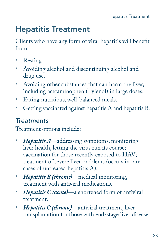## <span id="page-24-0"></span>**Hepatitis Treatment**

Clients who have any form of viral hepatitis will benefit from:

- Resting.
- • Avoiding alcohol and discontinuing alcohol and drug use.
- Avoiding other substances that can harm the liver, including acetaminophen (Tylenol) in large doses.
- • Eating nutritious, well-balanced meals.
- • Getting vaccinated against hepatitis A and hepatitis B.

## *Treatments*

Treatment options include:

- *Hepatitis A*—addressing symptoms, monitoring liver health, letting the virus run its course; vaccination for those recently exposed to HAV; treatment of severe liver problems (occurs in rare cases of untreated hepatitis A).
- • *Hepatitis B (chronic)*—medical monitoring, treatment with antiviral medications.
- • *Hepatitis C (acute)*—a shortened form of antiviral treatment.
- *Hepatitis C (chronic)*—antiviral treatment, liver transplantation for those with end-stage liver disease.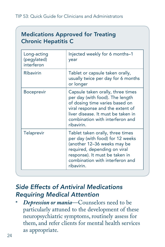### **Medications Approved for Treating** Chronic Hepatitis C

| Long-acting<br>(pegylated)<br>interferon | Injected weekly for 6 months–1<br>year                                                                                                                                                                                            |
|------------------------------------------|-----------------------------------------------------------------------------------------------------------------------------------------------------------------------------------------------------------------------------------|
| Ribavirin                                | Tablet or capsule taken orally,<br>usually twice per day for 6 months<br>or longer                                                                                                                                                |
| <b>Boceprevir</b>                        | Capsule taken orally, three times<br>per day (with food). The length<br>of dosing time varies based on<br>viral response and the extent of<br>liver disease. It must be taken in<br>combination with interferon and<br>ribavirin. |
| <b>Telaprevir</b>                        | Tablet taken orally, three times<br>per day (with food) for 12 weeks<br>(another 12-36 weeks may be<br>required, depending on viral<br>response). It must be taken in<br>combination with interferon and<br>ribavirin.            |

## *Side Effects of Antiviral Medications Requiring Medical Attention*

Depression or mania-Counselors need to be particularly attuned to the development of these neuropsychiatric symptoms, routinely assess for them, and refer clients for mental health services as appropriate.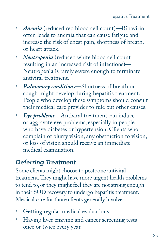- *Anemia* (reduced red blood cell count)—Ribavirin often leads to anemia that can cause fatigue and increase the risk of chest pain, shortness of breath, or heart attack.
- *Neutropenia* (reduced white blood cell count resulting in an increased risk of infections)— Neutropenia is rarely severe enough to terminate antiviral treatment.
- • *Pulmonary conditions*—Shortness of breath or cough might develop during hepatitis treatment. People who develop these symptoms should consult their medical care provider to rule out other causes.
- • *Eye problems*—Antiviral treatment can induce or aggravate eye problems, especially in people who have diabetes or hypertension. Clients who complain of blurry vision, any obstruction to vision, or loss of vision should receive an immediate medical examination.

## *Deferring Treatment*

Some clients might choose to postpone antiviral treatment.They might have more urgent health problems to tend to, or they might feel they are not strong enough in their SUD recovery to undergo hepatitis treatment. Medical care for those clients generally involves:

- Getting regular medical evaluations.
- Having liver enzyme and cancer screening tests once or twice every year.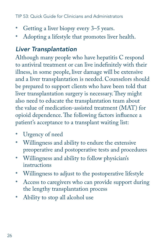- Getting a liver biopsy every 3–5 years.
- Adopting a lifestyle that promotes liver health.

## *Liver Transplantation*

Although many people who have hepatitis C respond to antiviral treatment or can live indefinitely with their illness, in some people, liver damage will be extensive and a liver transplantation is needed. Counselors should be prepared to support clients who have been told that liver transplantation surgery is necessary. They might also need to educate the transplantation team about the value of medication-assisted treatment (MAT) for opioid dependence. The following factors influence a patient's acceptance to a transplant waiting list:

- • Urgency of need
- • Willingness and ability to endure the extensive preoperative and postoperative tests and procedures
- • Willingness and ability to follow physician's instructions
- • Willingness to adjust to the postoperative lifestyle
- Access to caregivers who can provide support during the lengthy transplantation process
- Ability to stop all alcohol use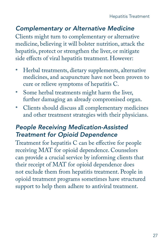## *Complementary or Alternative Medicine*

Clients might turn to complementary or alternative medicine, believing it will bolster nutrition, attack the hepatitis, protect or strengthen the liver, or mitigate side effects of viral hepatitis treatment. However:

- Herbal treatments, dietary supplements, alternative medicines, and acupuncture have not been proven to cure or relieve symptoms of hepatitis C.
- • Some herbal treatments might harm the liver, further damaging an already compromised organ.
- • Clients should discuss all complementary medicines and other treatment strategies with their physicians.

## *People Receiving Medication-Assisted Treatment for Opioid Dependence*

Treatment for hepatitis C can be effective for people receiving MAT for opioid dependence. Counselors can provide a crucial service by informing clients that their receipt of MAT for opioid dependence does not exclude them from hepatitis treatment. People in opioid treatment programs sometimes have structured support to help them adhere to antiviral treatment.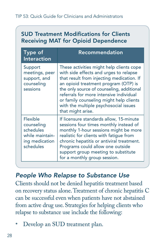## **SUD Treatment Modifications for Clients Receiving MAT for Opioid Dependence**

| Type of<br>Interaction                                                                | <b>Recommendation</b>                                                                                                                                                                                                                                                                                                                                                    |
|---------------------------------------------------------------------------------------|--------------------------------------------------------------------------------------------------------------------------------------------------------------------------------------------------------------------------------------------------------------------------------------------------------------------------------------------------------------------------|
| Support<br>meetings, peer<br>support, and<br>counseling<br>sessions                   | These activities might help clients cope<br>with side effects and urges to relapse<br>that result from injecting medication. If<br>an opioid treatment program (OTP) is<br>the only source of counseling, additional<br>referrals for more intensive individual<br>or family counseling might help clients<br>with the multiple psychosocial issues<br>that might arise. |
| Flexible<br>counseling<br>schedules<br>while maintain-<br>ing medication<br>schedules | If licensure standards allow, 15-minute<br>sessions four times monthly instead of<br>monthly 1-hour sessions might be more<br>realistic for clients with fatique from<br>chronic hepatitis or antiviral treatment.<br>Programs could allow one outside<br>support group meeting to substitute<br>for a monthly group session.                                            |

### *People Who Relapse to Substance Use*

Clients should not be denied hepatitis treatment based on recovery status alone. Treatment of chronic hepatitis C can be successful even when patients have not abstained from active drug use. Strategies for helping clients who relapse to substance use include the following:

Develop an SUD treatment plan.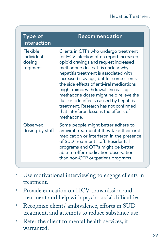| Type of<br><b>Interaction</b>                | Recommendation                                                                                                                                                                                                                                                                                                                                                                                                                                                                                                                    |
|----------------------------------------------|-----------------------------------------------------------------------------------------------------------------------------------------------------------------------------------------------------------------------------------------------------------------------------------------------------------------------------------------------------------------------------------------------------------------------------------------------------------------------------------------------------------------------------------|
| Flexible<br>individual<br>dosing<br>regimens | Clients in OTPs who undergo treatment<br>for HCV infection often report increased<br>opioid cravings and request increased<br>methadone doses. It is unclear why<br>hepatitis treatment is associated with<br>increased cravings, but for some clients<br>the side effects of antiviral medications<br>might mimic withdrawal. Increasing<br>methadone doses might help relieve the<br>flu-like side effects caused by hepatitis<br>treatment. Research has not confirmed<br>that interferon lessens the effects of<br>methadone. |
| Observed<br>dosing by staff                  | Some people might better adhere to<br>antiviral treatment if they take their oral<br>medication or interferon in the presence<br>of SUD treatment staff. Residential<br>programs and OTPs might be better<br>able to offer medication observation<br>than non-OTP outpatient programs.                                                                                                                                                                                                                                            |

- Use motivational interviewing to engage clients in treatment.
- Provide education on HCV transmission and treatment and help with psychosocial difficulties.
- Recognize clients' ambivalence, efforts in SUD treatment, and attempts to reduce substance use.
- Refer the client to mental health services, if warranted.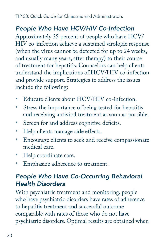## *People Who Have HCV/HIV Co-Infection*

Approximately 35 percent of people who have HCV/ HIV co-infection achieve a sustained virologic response (when the virus cannot be detected for up to 24 weeks, and usually many years, after therapy) to their course of treatment for hepatitis. Counselors can help clients understand the implications of HCV/HIV co-infection and provide support. Strategies to address the issues include the following:

- Educate clients about HCV/HIV co-infection.
- • Stress the importance of being tested for hepatitis and receiving antiviral treatment as soon as possible.
- Screen for and address cognitive deficits.
- Help clients manage side effects.
- • Encourage clients to seek and receive compassionate medical care.
- • Help coordinate care.
- Emphasize adherence to treatment.

## *People Who Have Co-Occurring Behavioral Health Disorders*

With psychiatric treatment and monitoring, people who have psychiatric disorders have rates of adherence to hepatitis treatment and successful outcome comparable with rates of those who do not have psychiatric disorders. Optimal results are obtained when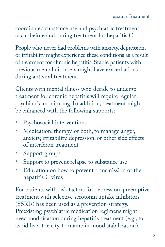coordinated substance use and psychiatric treatment occur before and during treatment for hepatitis C.

 of treatment for chronic hepatitis. Stable patients with People who never had problems with anxiety, depression, or irritability might experience these conditions as a result previous mental disorders might have exacerbations during antiviral treatment.

Clients with mental illness who decide to undergo treatment for chronic hepatitis will require regular psychiatric monitoring. In addition, treatment might be enhanced with the following supports:

- • Psychosocial interventions
- Medication, therapy, or both, to manage anger, anxiety, irritability, depression, or other side effects of interferon treatment
- Support groups
- • Support to prevent relapse to substance use
- Education on how to prevent transmission of the hepatitis C virus

For patients with risk factors for depression, preemptive treatment with selective serotonin uptake inhibitors (SSRIs) has been used as a prevention strategy. Preexisting psychiatric medication regimens might need modification during hepatitis treatment (e.g., to avoid liver toxicity, to maintain mood stabilization).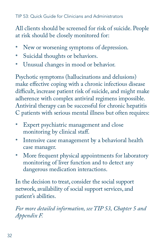All clients should be screened for risk of suicide. People at risk should be closely monitored for:

- New or worsening symptoms of depression.
- Suicidal thoughts or behaviors.
- • Unusual changes in mood or behavior.

Psychotic symptoms (hallucinations and delusions) make effective coping with a chronic infectious disease difficult, increase patient risk of suicide, and might make adherence with complex antiviral regimens impossible. Antiviral therapy can be successful for chronic hepatitis C patients with serious mental illness but often requires:

- Expert psychiatric management and close monitoring by clinical staff.
- Intensive case management by a behavioral health case manager.
- More frequent physical appointments for laboratory monitoring of liver function and to detect any dangerous medication interactions.

In the decision to treat, consider the social support network, availability of social support services, and patient's abilities.

*For more detailed information, see TIP 53, Chapter 5 and Appendix F.*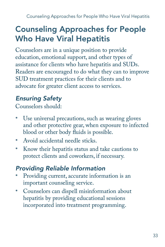## <span id="page-34-0"></span>Counseling Approaches for People Who Have Viral Hepatitis

Counselors are in a unique position to provide education, emotional support, and other types of assistance for clients who have hepatitis and SUDs. Readers are encouraged to do what they can to improve SUD treatment practices for their clients and to advocate for greater client access to services.

## *Ensuring Safety*

Counselors should:

- Use universal precautions, such as wearing gloves and other protective gear, when exposure to infected blood or other body fluids is possible.
- Avoid accidental needle sticks.
- • Know their hepatitis status and take cautions to protect clients and coworkers, if necessary.

## *Providing Reliable Information*

- Providing current, accurate information is an important counseling service.
- • Counselors can dispell misinformation about hepatitis by providing educational sessions incorporated into treatment programming.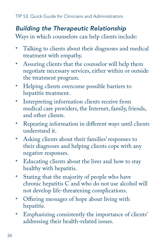## *Building the Therapeutic Relationship*

Ways in which counselors can help clients include:

- Talking to clients about their diagnoses and medical treatment with empathy.
- Assuring clients that the counselor will help them negotiate necessary services, either within or outside the treatment program.
- • Helping clients overcome possible barriers to hepatitis treatment.
- Interpreting information clients receive from medical care providers, the Internet, family, friends, and other clients.
- • Repeating information in different ways until clients understand it.
- Asking clients about their families' responses to their diagnoses and helping clients cope with any negative responses.
- • Educating clients about the liver and how to stay healthy with hepatitis.
- • Stating that the majority of people who have chronic hepatitis C and who do not use alcohol will not develop life-threatening complications.
- • Offering messages of hope about living with hepatitis.
- Emphasizing consistently the importance of clients' addressing their health-related issues.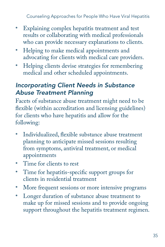Counseling Approaches for People Who Have Viral Hepatitis

- • Explaining complex hepatitis treatment and test results or collaborating with medical professionals who can provide necessary explanations to clients.
- Helping to make medical appointments and advocating for clients with medical care providers.
- Helping clients devise strategies for remembering medical and other scheduled appointments.

## *Incorporating Client Needs in Substance Abuse Treatment Planning*

Facets of substance abuse treatment might need to be flexible (within accreditation and licensing guidelines) for clients who have hepatitis and allow for the following:

- Individualized, flexible substance abuse treatment planning to anticipate missed sessions resulting from symptoms, antiviral treatment, or medical appointments
- Time for clients to rest
- • Time for hepatitis-specific support groups for clients in residential treatment
- More frequent sessions or more intensive programs
- • Longer duration of substance abuse treatment to make up for missed sessions and to provide ongoing support throughout the hepatitis treatment regimen.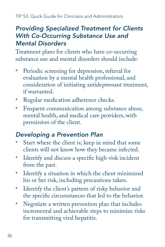## *Providing Specialized Treatment for Clients With Co-Occurring Substance Use and Mental Disorders*

Treatment plans for clients who have co-occurring substance use and mental disorders should include:

- Periodic screening for depression, referral for evaluation by a mental health professional, and consideration of initiating antidepressant treatment, if warranted.
- • Regular medication adherence checks.
- Frequent communication among substance abuse, mental health, and medical care providers, with permission of the client.

## *Developing a Prevention Plan*

- Start where the client is; keep in mind that some clients will not know how they became infected.
- Identify and discuss a specific high-risk incident from the past.
- • Identify a situation in which the client minimized his or her risk, including precautions taken.
- • Identify the client's pattern of risky behavior and the specific circumstances that led to the behavior.
- Negotiate a written prevention plan that includes incremental and achievable steps to minimize risks for transmitting viral hepatitis.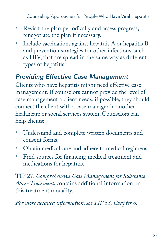Counseling Approaches for People Who Have Viral Hepatitis

- Revisit the plan periodically and assess progress; renegotiate the plan if necessary.
- Include vaccinations against hepatitis A or hepatitis B and prevention strategies for other infections, such as HIV, that are spread in the same way as different types of hepatitis.

## *Providing Effective Case Management*

Clients who have hepatitis might need effective case management. If counselors cannot provide the level of case management a client needs, if possible, they should connect the client with a case manager in another healthcare or social services system. Counselors can help clients:

- • Understand and complete written documents and consent forms.
- • Obtain medical care and adhere to medical regimens.
- • Find sources for financing medical treatment and medications for hepatitis.

TIP 27, *Comprehensive Case Management for Substance Abuse Treatment*, contains additional information on this treatment modality.

*For more detailed information, see TIP 53, Chapter 6.*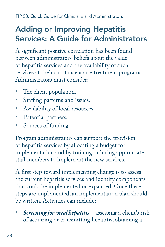## <span id="page-39-0"></span>Adding or Improving Hepatitis Services: A Guide for Administrators

A significant positive correlation has been found between administrators' beliefs about the value of hepatitis services and the availability of such services at their substance abuse treatment programs. Administrators must consider:

- The client population.
- Staffing patterns and issues.
- Availability of local resources.
- Potential partners.
- Sources of funding.

Program administrators can support the provision of hepatitis services by allocating a budget for implementation and by training or hiring appropriate staff members to implement the new services.

A first step toward implementing change is to assess the current hepatitis services and identify components that could be implemented or expanded. Once these steps are implemented, an implementation plan should be written. Activities can include:

**Screening for viral hepatitis**—assessing a client's risk of acquiring or transmitting hepatitis, obtaining a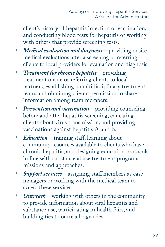client's history of hepatitis infection or vaccination, and conducting blood tests for hepatitis or working with others that provide screening tests.

- *Medical evaluation and diagnosis*—providing onsite medical evaluations after a screening or referring clients to local providers for evaluation and diagnosis.
- • *Treatment for chronic hepatitis*—providing treatment onsite or referring clients to local partners, establishing a multidisciplinary treatment team, and obtaining clients' permission to share information among team members.
- • *Prevention and vaccination*—providing counseling before and after hepatitis screening, educating clients about virus transmission, and providing vaccinations against hepatitis A and B.
- *Education*—training staff, learning about community resources available to clients who have chronic hepatitis, and designing education protocols in line with substance abuse treatment programs' missions and approaches.
- **Support services**—assigning staff members as case managers or working with the medical team to access these services.
- *Outreach***—working with others in the community** to provide information about viral hepatitis and substance use, participating in health fairs, and building ties to outreach agencies.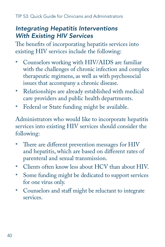## *Integrating Hepatitis Interventions With Existing HIV Services*

The benefits of incorporating hepatitis services into existing HIV services include the following:

- • Counselors working with HIV/AIDS are familiar with the challenges of chronic infection and complex therapeutic regimens, as well as with psychosocial issues that accompany a chronic disease.
- Relationships are already established with medical care providers and public health departments.
- Federal or State funding might be available.

Administrators who would like to incorporate hepatitis services into existing HIV services should consider the following:

- There are different prevention messages for HIV and hepatitis, which are based on different rates of parenteral and sexual transmission.
- Clients often know less about HCV than about HIV.
- Some funding might be dedicated to support services for one virus only.
- • Counselors and staff might be reluctant to integrate services.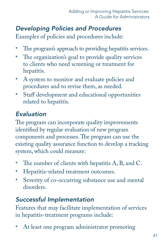## *Developing Policies and Procedures*

Examples of policies and procedures include:

- The program's approach to providing hepatitis services.
- The organization's goal to provide quality services to clients who need screening or treatment for hepatitis.
- • A system to monitor and evaluate policies and procedures and to revise them, as needed.
- • Staff development and educational opportunities related to hepatitis.

## *Evaluation*

The program can incorporate quality improvements identified by regular evaluation of new program components and processes. The program can use the existing quality assurance function to develop a tracking system, which could measure:

- The number of clients with hepatitis  $A$ ,  $B$ , and  $C$ .
- Hepatitis-related treatment outcomes.
- Severity of co-occurring substance use and mental disorders.

## *Successful Implementation*

Features that may facilitate implementation of services in hepatitis-treatment programs include:

• At least one program administrator promoting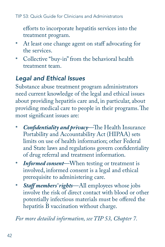efforts to incorporate hepatitis services into the treatment program.

- At least one change agent on staff advocating for the services.
- • Collective "buy-in" from the behavioral health treatment team.

## *Legal and Ethical Issues*

Substance abuse treatment program administrators need current knowledge of the legal and ethical issues about providing hepatitis care and, in particular, about providing medical care to people in their programs. The most significant issues are:

- Confidentiality and privacy—The Health Insurance Portability and Accountability Act (HIPAA) sets limits on use of health information; other Federal and State laws and regulations govern confidentiality of drug referral and treatment information.
- *Informed consent***—When testing or treatment is** involved, informed consent is a legal and ethical prerequisite to administering care.
- • *Staff members' rights*—All employees whose jobs involve the risk of direct contact with blood or other potentially infectious materials must be offered the hepatitis B vaccination without charge.

*For more detailed information, see TIP 53, Chapter 7.*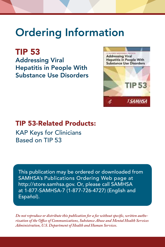# Ordering Information

TIP 53 Addressing Viral Hepatitis in People With Substance Use Disorders



## TIP 53-Related Products:

KAP Keys for Clinicians Based on TIP 53

This publication may be ordered or downloaded from SAMHSA's Publications Ordering Web page at http://store.samhsa.gov. Or, please call SAMHSA at 1-877-SAMHSA-7 (1-877-726-4727) (English and Español).

*Do not reproduce or distribute this publication for a fee without specific, written authorization of the Office of Communications, Substance Abuse and Mental Health Services Administration, U.S. Department of Health and Human Services.*